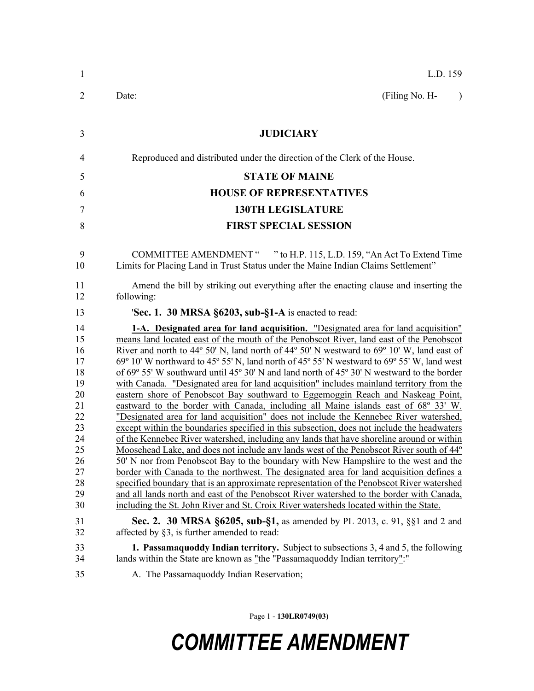| 1                                                                                                  | L.D. 159                                                                                                                                                                                                                                                                                                                                                                                                                                                                                                                                                                                                                                                                                                                                                                                                                                                                                                                                                                                                                                                                                                                                                                                                                                                                                                                                                                                                                                                                                                                                                                                                                                                    |
|----------------------------------------------------------------------------------------------------|-------------------------------------------------------------------------------------------------------------------------------------------------------------------------------------------------------------------------------------------------------------------------------------------------------------------------------------------------------------------------------------------------------------------------------------------------------------------------------------------------------------------------------------------------------------------------------------------------------------------------------------------------------------------------------------------------------------------------------------------------------------------------------------------------------------------------------------------------------------------------------------------------------------------------------------------------------------------------------------------------------------------------------------------------------------------------------------------------------------------------------------------------------------------------------------------------------------------------------------------------------------------------------------------------------------------------------------------------------------------------------------------------------------------------------------------------------------------------------------------------------------------------------------------------------------------------------------------------------------------------------------------------------------|
| $\overline{2}$                                                                                     | (Filing No. H-<br>Date:<br>$\lambda$                                                                                                                                                                                                                                                                                                                                                                                                                                                                                                                                                                                                                                                                                                                                                                                                                                                                                                                                                                                                                                                                                                                                                                                                                                                                                                                                                                                                                                                                                                                                                                                                                        |
| 3                                                                                                  | <b>JUDICIARY</b>                                                                                                                                                                                                                                                                                                                                                                                                                                                                                                                                                                                                                                                                                                                                                                                                                                                                                                                                                                                                                                                                                                                                                                                                                                                                                                                                                                                                                                                                                                                                                                                                                                            |
| $\overline{4}$                                                                                     | Reproduced and distributed under the direction of the Clerk of the House.                                                                                                                                                                                                                                                                                                                                                                                                                                                                                                                                                                                                                                                                                                                                                                                                                                                                                                                                                                                                                                                                                                                                                                                                                                                                                                                                                                                                                                                                                                                                                                                   |
| 5                                                                                                  | <b>STATE OF MAINE</b>                                                                                                                                                                                                                                                                                                                                                                                                                                                                                                                                                                                                                                                                                                                                                                                                                                                                                                                                                                                                                                                                                                                                                                                                                                                                                                                                                                                                                                                                                                                                                                                                                                       |
| 6                                                                                                  | <b>HOUSE OF REPRESENTATIVES</b>                                                                                                                                                                                                                                                                                                                                                                                                                                                                                                                                                                                                                                                                                                                                                                                                                                                                                                                                                                                                                                                                                                                                                                                                                                                                                                                                                                                                                                                                                                                                                                                                                             |
| 7                                                                                                  | <b>130TH LEGISLATURE</b>                                                                                                                                                                                                                                                                                                                                                                                                                                                                                                                                                                                                                                                                                                                                                                                                                                                                                                                                                                                                                                                                                                                                                                                                                                                                                                                                                                                                                                                                                                                                                                                                                                    |
| 8                                                                                                  | <b>FIRST SPECIAL SESSION</b>                                                                                                                                                                                                                                                                                                                                                                                                                                                                                                                                                                                                                                                                                                                                                                                                                                                                                                                                                                                                                                                                                                                                                                                                                                                                                                                                                                                                                                                                                                                                                                                                                                |
|                                                                                                    |                                                                                                                                                                                                                                                                                                                                                                                                                                                                                                                                                                                                                                                                                                                                                                                                                                                                                                                                                                                                                                                                                                                                                                                                                                                                                                                                                                                                                                                                                                                                                                                                                                                             |
| 9<br>10                                                                                            | COMMITTEE AMENDMENT " " to H.P. 115, L.D. 159, "An Act To Extend Time<br>Limits for Placing Land in Trust Status under the Maine Indian Claims Settlement"                                                                                                                                                                                                                                                                                                                                                                                                                                                                                                                                                                                                                                                                                                                                                                                                                                                                                                                                                                                                                                                                                                                                                                                                                                                                                                                                                                                                                                                                                                  |
| 11<br>12                                                                                           | Amend the bill by striking out everything after the enacting clause and inserting the<br>following:                                                                                                                                                                                                                                                                                                                                                                                                                                                                                                                                                                                                                                                                                                                                                                                                                                                                                                                                                                                                                                                                                                                                                                                                                                                                                                                                                                                                                                                                                                                                                         |
| 13                                                                                                 | 'Sec. 1. 30 MRSA §6203, sub-§1-A is enacted to read:                                                                                                                                                                                                                                                                                                                                                                                                                                                                                                                                                                                                                                                                                                                                                                                                                                                                                                                                                                                                                                                                                                                                                                                                                                                                                                                                                                                                                                                                                                                                                                                                        |
| 14<br>15<br>16<br>17<br>18<br>19<br>20<br>21<br>22<br>23<br>24<br>25<br>26<br>27<br>28<br>29<br>30 | 1-A. Designated area for land acquisition. "Designated area for land acquisition"<br>means land located east of the mouth of the Penobscot River, land east of the Penobscot<br>River and north to 44 $\degree$ 50' N, land north of 44 $\degree$ 50' N westward to 69 $\degree$ 10' W, land east of<br>$69^{\circ}$ 10' W northward to 45° 55' N, land north of 45° 55' N westward to 69° 55' W, land west<br>of 69 $\degree$ 55' W southward until 45 $\degree$ 30' N and land north of 45 $\degree$ 30' N westward to the border<br>with Canada. "Designated area for land acquisition" includes mainland territory from the<br>eastern shore of Penobscot Bay southward to Eggemoggin Reach and Naskeag Point,<br>eastward to the border with Canada, including all Maine islands east of 68° 33' W.<br>"Designated area for land acquisition" does not include the Kennebec River watershed,<br>except within the boundaries specified in this subsection, does not include the headwaters<br>of the Kennebec River watershed, including any lands that have shoreline around or within<br>Moosehead Lake, and does not include any lands west of the Penobscot River south of 44°<br>50' N nor from Penobscot Bay to the boundary with New Hampshire to the west and the<br>border with Canada to the northwest. The designated area for land acquisition defines a<br>specified boundary that is an approximate representation of the Penobscot River watershed<br>and all lands north and east of the Penobscot River watershed to the border with Canada,<br>including the St. John River and St. Croix River watersheds located within the State. |
| 31<br>32                                                                                           | <b>Sec. 2. 30 MRSA §6205, sub-§1,</b> as amended by PL 2013, c. 91, §§1 and 2 and<br>affected by $\S3$ , is further amended to read:                                                                                                                                                                                                                                                                                                                                                                                                                                                                                                                                                                                                                                                                                                                                                                                                                                                                                                                                                                                                                                                                                                                                                                                                                                                                                                                                                                                                                                                                                                                        |
| 33<br>34<br>35                                                                                     | <b>1. Passamaguoddy Indian territory.</b> Subject to subsections 3, 4 and 5, the following<br>lands within the State are known as "the "Passamaquoddy Indian territory"."<br>A. The Passamaquoddy Indian Reservation;                                                                                                                                                                                                                                                                                                                                                                                                                                                                                                                                                                                                                                                                                                                                                                                                                                                                                                                                                                                                                                                                                                                                                                                                                                                                                                                                                                                                                                       |
|                                                                                                    |                                                                                                                                                                                                                                                                                                                                                                                                                                                                                                                                                                                                                                                                                                                                                                                                                                                                                                                                                                                                                                                                                                                                                                                                                                                                                                                                                                                                                                                                                                                                                                                                                                                             |

Page 1 - **130LR0749(03)**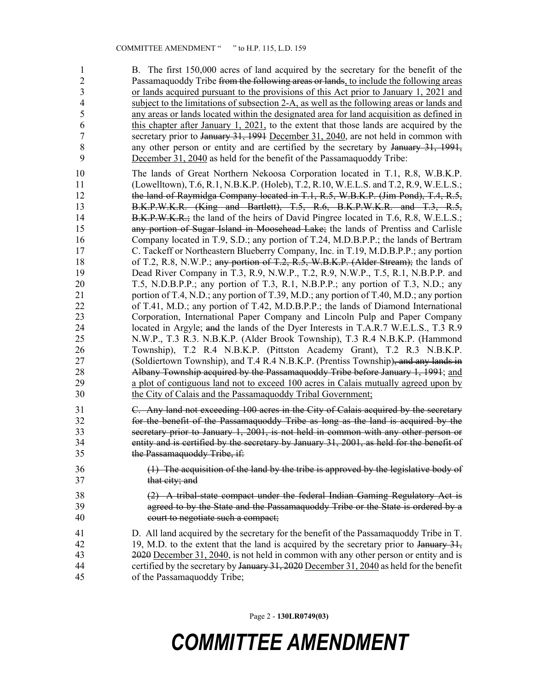1 B. The first 150,000 acres of land acquired by the secretary for the benefit of the 2 Passamaquoddy Tribe from the following areas or lands, to include the following areas 3 or lands acquired pursuant to the provisions of this Act prior to January 1, 2021 and 4 subject to the limitations of subsection 2-A, as well as the following areas or lands and 5 any areas or lands located within the designated area for land acquisition as defined in 6 this chapter after January 1, 2021, to the extent that those lands are acquired by the 7 secretary prior to January 31, 1991 December 31, 2040, are not held in common with 8 any other person or entity and are certified by the secretary by January 31, 1991, 9 December 31, 2040 as held for the benefit of the Passamaquoddy Tribe:

10 The lands of Great Northern Nekoosa Corporation located in T.1, R.8, W.B.K.P. 11 (Lowelltown), T.6, R.1, N.B.K.P. (Holeb), T.2, R.10, W.E.L.S. and T.2, R.9, W.E.L.S.; 12 the land of Raymidga Company located in T.1, R.5, W.B.K.P. (Jim Pond), T.4, R.5, 13 B.K.P.W.K.R. (King and Bartlett), T.5, R.6, B.K.P.W.K.R. and T.3, R.5, 14 B.K.P.W.K.R.; the land of the heirs of David Pingree located in T.6, R.8, W.E.L.S.; 15 any portion of Sugar Island in Moosehead Lake; the lands of Prentiss and Carlisle 16 Company located in T.9, S.D.; any portion of T.24, M.D.B.P.P.; the lands of Bertram 17 C. Tackeff or Northeastern Blueberry Company, Inc. in T.19, M.D.B.P.P.; any portion 18 of T.2, R.8, N.W.P.; any portion of T.2, R.5, W.B.K.P. (Alder Stream); the lands of 19 Dead River Company in T.3, R.9, N.W.P., T.2, R.9, N.W.P., T.5, R.1, N.B.P.P. and 20 T.5, N.D.B.P.P.; any portion of T.3, R.1, N.B.P.P.; any portion of T.3, N.D.; any 21 portion of T.4, N.D.; any portion of T.39, M.D.; any portion of T.40, M.D.; any portion 22 of T.41, M.D.; any portion of T.42, M.D.B.P.P.; the lands of Diamond International 23 Corporation, International Paper Company and Lincoln Pulp and Paper Company 24 located in Argyle; and the lands of the Dyer Interests in T.A.R.7 W.E.L.S., T.3 R.9 25 N.W.P., T.3 R.3. N.B.K.P. (Alder Brook Township), T.3 R.4 N.B.K.P. (Hammond 26 Township), T.2 R.4 N.B.K.P. (Pittston Academy Grant), T.2 R.3 N.B.K.P. 27 (Soldiertown Township), and T.4 R.4 N.B.K.P. (Prentiss Township), and any lands in 28 Albany Township acquired by the Passamaquoddy Tribe before January 1, 1991; and 29 a plot of contiguous land not to exceed 100 acres in Calais mutually agreed upon by 30 the City of Calais and the Passamaquoddy Tribal Government;

31 C. Any land not exceeding 100 acres in the City of Calais acquired by the secretary 32 for the benefit of the Passamaquoddy Tribe as long as the land is acquired by the 33 secretary prior to January 1, 2001, is not held in common with any other person or 34 entity and is certified by the secretary by January 31, 2001, as held for the benefit of 35 the Passamaquoddy Tribe, if:

- 36 (1) The acquisition of the land by the tribe is approved by the legislative body of 37 that city; and
- 38 (2) A tribal-state compact under the federal Indian Gaming Regulatory Act is 39 agreed to by the State and the Passamaquoddy Tribe or the State is ordered by a 40 court to negotiate such a compact;
- 41 D. All land acquired by the secretary for the benefit of the Passamaquoddy Tribe in T. 42 19, M.D. to the extent that the land is acquired by the secretary prior to January 31, 43 2020 December 31, 2040, is not held in common with any other person or entity and is 44 certified by the secretary by January 31, 2020 December 31, 2040 as held for the benefit 45 of the Passamaquoddy Tribe;

Page 2 - **130LR0749(03)**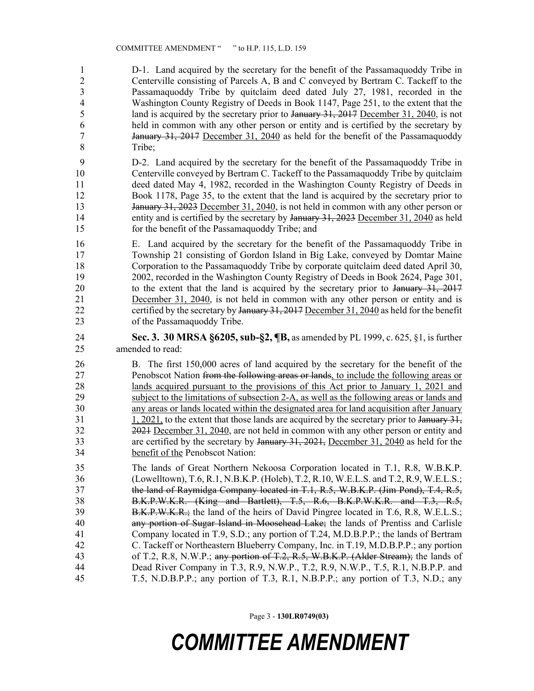1 D-1. Land acquired by the secretary for the benefit of the Passamaquoddy Tribe in 2 Centerville consisting of Parcels A, B and C conveyed by Bertram C. Tackeff to the 3 Passamaquoddy Tribe by quitclaim deed dated July 27, 1981, recorded in the 4 Washington County Registry of Deeds in Book 1147, Page 251, to the extent that the 5 land is acquired by the secretary prior to January 31, 2017 December 31, 2040, is not 6 held in common with any other person or entity and is certified by the secretary by 7 **January 31, 2017** December 31, 2040 as held for the benefit of the Passamaguoddy 8 Tribe;

9 D-2. Land acquired by the secretary for the benefit of the Passamaquoddy Tribe in 10 Centerville conveyed by Bertram C. Tackeff to the Passamaquoddy Tribe by quitclaim 11 deed dated May 4, 1982, recorded in the Washington County Registry of Deeds in 12 Book 1178, Page 35, to the extent that the land is acquired by the secretary prior to 13 January 31, 2023 December 31, 2040, is not held in common with any other person or 14 entity and is certified by the secretary by January 31, 2023 December 31, 2040 as held 15 for the benefit of the Passamaquoddy Tribe; and

16 E. Land acquired by the secretary for the benefit of the Passamaquoddy Tribe in 17 Township 21 consisting of Gordon Island in Big Lake, conveyed by Domtar Maine 18 Corporation to the Passamaquoddy Tribe by corporate quitclaim deed dated April 30, 19 2002, recorded in the Washington County Registry of Deeds in Book 2624, Page 301, 20 to the extent that the land is acquired by the secretary prior to January 31, 2017 21 December 31, 2040, is not held in common with any other person or entity and is 22 certified by the secretary by January 31, 2017 December 31, 2040 as held for the benefit 23 of the Passamaquoddy Tribe.

24 **Sec. 3. 30 MRSA §6205, sub-§2, ¶B,** as amended by PL 1999, c. 625, §1, is further 25 amended to read:

26 B. The first 150,000 acres of land acquired by the secretary for the benefit of the 27 **Penobscot Nation <del>from the following areas or lands</del>, to include the following areas or** 28 lands acquired pursuant to the provisions of this Act prior to January 1, 2021 and 29 subject to the limitations of subsection 2-A, as well as the following areas or lands and 30 any areas or lands located within the designated area for land acquisition after January 31 1, 2021, to the extent that those lands are acquired by the secretary prior to January 31, 32 2021 December 31, 2040, are not held in common with any other person or entity and 33 are certified by the secretary by January 31, 2021, December 31, 2040 as held for the 34 benefit of the Penobscot Nation:

35 The lands of Great Northern Nekoosa Corporation located in T.1, R.8, W.B.K.P. 36 (Lowelltown), T.6, R.1, N.B.K.P. (Holeb), T.2, R.10, W.E.L.S. and T.2, R.9, W.E.L.S.; 37 the land of Raymidga Company located in T.1, R.5, W.B.K.P. (Jim Pond), T.4, R.5, 38 B.K.P.W.K.R. (King and Bartlett), T.5, R.6, B.K.P.W.K.R. and T.3, R.5, 39 B.K.P.W.K.R.; the land of the heirs of David Pingree located in T.6, R.8, W.E.L.S.; 40 any portion of Sugar Island in Moosehead Lake; the lands of Prentiss and Carlisle 41 Company located in T.9, S.D.; any portion of T.24, M.D.B.P.P.; the lands of Bertram 42 C. Tackeff or Northeastern Blueberry Company, Inc. in T.19, M.D.B.P.P.; any portion 43 of T.2, R.8, N.W.P.; any portion of T.2, R.5, W.B.K.P. (Alder Stream); the lands of 44 Dead River Company in T.3, R.9, N.W.P., T.2, R.9, N.W.P., T.5, R.1, N.B.P.P. and 45 T.5, N.D.B.P.P.; any portion of T.3, R.1, N.B.P.P.; any portion of T.3, N.D.; any

Page 3 - **130LR0749(03)**